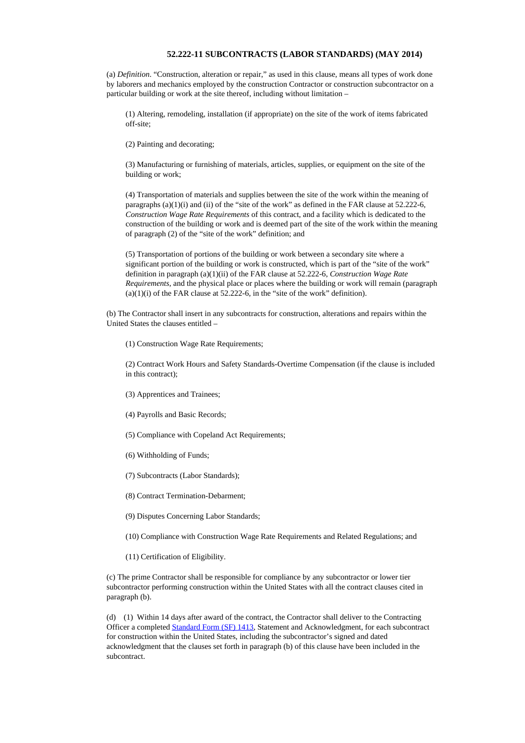## **52.222-11 SUBCONTRACTS (LABOR STANDARDS) (MAY 2014)**

(a) *Definition*. "Construction, alteration or repair," as used in this clause, means all types of work done by laborers and mechanics employed by the construction Contractor or construction subcontractor on a particular building or work at the site thereof, including without limitation –

(1) Altering, remodeling, installation (if appropriate) on the site of the work of items fabricated off-site;

(2) Painting and decorating;

(3) Manufacturing or furnishing of materials, articles, supplies, or equipment on the site of the building or work;

(4) Transportation of materials and supplies between the site of the work within the meaning of paragraphs  $(a)(1)(i)$  and  $(ii)$  of the "site of the work" as defined in the FAR clause at 52.222-6, *Construction Wage Rate Requirements* of this contract, and a facility which is dedicated to the construction of the building or work and is deemed part of the site of the work within the meaning of paragraph (2) of the "site of the work" definition; and

(5) Transportation of portions of the building or work between a secondary site where a significant portion of the building or work is constructed, which is part of the "site of the work" definition in paragraph (a)(1)(ii) of the FAR clause at 52.222-6, *Construction Wage Rate Requirements*, and the physical place or places where the building or work will remain (paragraph  $(a)(1)(i)$  of the FAR clause at 52.222-6, in the "site of the work" definition).

(b) The Contractor shall insert in any subcontracts for construction, alterations and repairs within the United States the clauses entitled –

(1) Construction Wage Rate Requirements;

(2) Contract Work Hours and Safety Standards-Overtime Compensation (if the clause is included in this contract);

- (3) Apprentices and Trainees;
- (4) Payrolls and Basic Records;
- (5) Compliance with Copeland Act Requirements;
- (6) Withholding of Funds;
- (7) Subcontracts (Labor Standards);
- (8) Contract Termination-Debarment;
- (9) Disputes Concerning Labor Standards;
- (10) Compliance with Construction Wage Rate Requirements and Related Regulations; and
- (11) Certification of Eligibility.

(c) The prime Contractor shall be responsible for compliance by any subcontractor or lower tier subcontractor performing construction within the United States with all the contract clauses cited in paragraph (b).

(d) (1) Within 14 days after award of the contract, the Contractor shall deliver to the Contracting Officer a completed [Standard](https://www.gsa.gov/forms-library/statement-and-acknowledgment) Form (SF) 1413, Statement and Acknowledgment, for each subcontract for construction within the United States, including the subcontractor's signed and dated acknowledgment that the clauses set forth in paragraph (b) of this clause have been included in the subcontract.